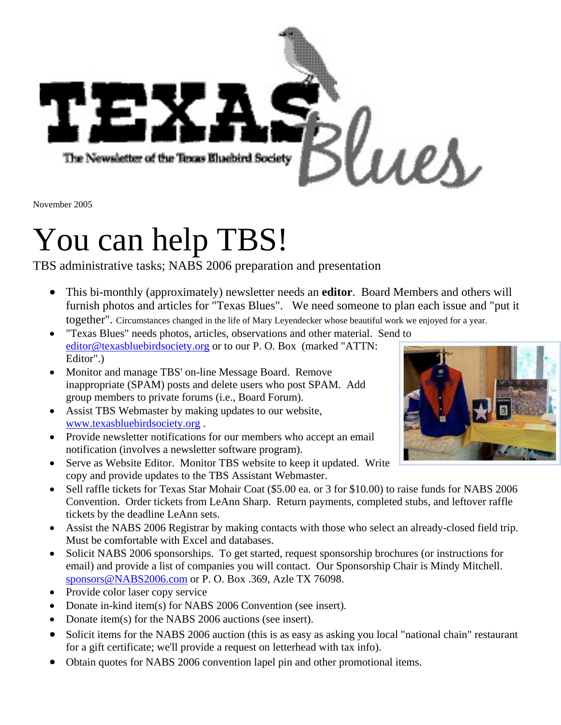

November 2005

# You can help TBS!

TBS administrative tasks; NABS 2006 preparation and presentation

- This bi-monthly (approximately) newsletter needs an **editor**. Board Members and others will furnish photos and articles for "Texas Blues". We need someone to plan each issue and "put it together". Circumstances changed in the life of Mary Leyendecker whose beautiful work we enjoyed for a year.
- "Texas Blues" needs photos, articles, observations and other material. Send to [editor@texasbluebirdsociety.org](mailto:editor@texasbluebirdsociety.org) or to our P. O. Box (marked "ATTN: Editor".)
- Monitor and manage TBS' on-line Message Board. Remove inappropriate (SPAM) posts and delete users who post SPAM. Add group members to private forums (i.e., Board Forum).
- Assist TBS Webmaster by making updates to our website, [www.texasbluebirdsociety.org](http://www.texasbluebirdsociety.org/) .
- Provide newsletter notifications for our members who accept an email notification (involves a newsletter software program).
- Serve as Website Editor. Monitor TBS website to keep it updated. Write copy and provide updates to the TBS Assistant Webmaster.
- Sell raffle tickets for Texas Star Mohair Coat (\$5.00 ea. or 3 for \$10.00) to raise funds for NABS 2006 Convention. Order tickets from LeAnn Sharp. Return payments, completed stubs, and leftover raffle tickets by the deadline LeAnn sets.
- Assist the NABS 2006 Registrar by making contacts with those who select an already-closed field trip. Must be comfortable with Excel and databases.
- Solicit NABS 2006 sponsorships. To get started, request sponsorship brochures (or instructions for email) and provide a list of companies you will contact. Our Sponsorship Chair is Mindy Mitchell. [sponsors@NABS2006.com](mailto:mindy@NABS2006.com) or P. O. Box .369, Azle TX 76098.
- Provide color laser copy service
- Donate in-kind item(s) for NABS 2006 Convention (see insert).
- Donate item(s) for the NABS 2006 auctions (see insert).
- Solicit items for the NABS 2006 auction (this is as easy as asking you local "national chain" restaurant for a gift certificate; we'll provide a request on letterhead with tax info).
- Obtain quotes for NABS 2006 convention lapel pin and other promotional items.

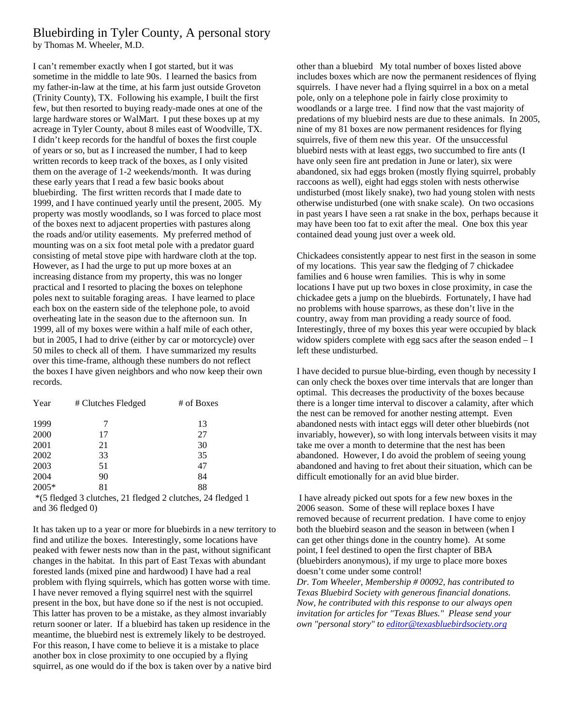#### Bluebirding in Tyler County, A personal story by Thomas M. Wheeler, M.D.

I can't remember exactly when I got started, but it was sometime in the middle to late 90s. I learned the basics from my father-in-law at the time, at his farm just outside Groveton (Trinity County), TX. Following his example, I built the first few, but then resorted to buying ready-made ones at one of the large hardware stores or WalMart. I put these boxes up at my acreage in Tyler County, about 8 miles east of Woodville, TX. I didn't keep records for the handful of boxes the first couple of years or so, but as I increased the number, I had to keep written records to keep track of the boxes, as I only visited them on the average of 1-2 weekends/month. It was during these early years that I read a few basic books about bluebirding. The first written records that I made date to 1999, and I have continued yearly until the present, 2005. My property was mostly woodlands, so I was forced to place most of the boxes next to adjacent properties with pastures along the roads and/or utility easements. My preferred method of mounting was on a six foot metal pole with a predator guard consisting of metal stove pipe with hardware cloth at the top. However, as I had the urge to put up more boxes at an increasing distance from my property, this was no longer practical and I resorted to placing the boxes on telephone poles next to suitable foraging areas. I have learned to place each box on the eastern side of the telephone pole, to avoid overheating late in the season due to the afternoon sun. In 1999, all of my boxes were within a half mile of each other, but in 2005, I had to drive (either by car or motorcycle) over 50 miles to check all of them. I have summarized my results over this time-frame, although these numbers do not reflect the boxes I have given neighbors and who now keep their own records.

| Year  | # Clutches Fledged | # of Boxes |
|-------|--------------------|------------|
| 1999  | 7                  | 13         |
| 2000  | 17                 | 27         |
| 2001  | 21                 | 30         |
| 2002  | 33                 | 35         |
| 2003  | 51                 | 47         |
| 2004  | 90                 | 84         |
| 2005* | 81                 | 88         |

 \*(5 fledged 3 clutches, 21 fledged 2 clutches, 24 fledged 1 and 36 fledged 0)

It has taken up to a year or more for bluebirds in a new territory to find and utilize the boxes. Interestingly, some locations have peaked with fewer nests now than in the past, without significant changes in the habitat. In this part of East Texas with abundant forested lands (mixed pine and hardwood) I have had a real problem with flying squirrels, which has gotten worse with time. I have never removed a flying squirrel nest with the squirrel present in the box, but have done so if the nest is not occupied. This latter has proven to be a mistake, as they almost invariably return sooner or later. If a bluebird has taken up residence in the meantime, the bluebird nest is extremely likely to be destroyed. For this reason, I have come to believe it is a mistake to place another box in close proximity to one occupied by a flying squirrel, as one would do if the box is taken over by a native bird

other than a bluebird My total number of boxes listed above includes boxes which are now the permanent residences of flying squirrels. I have never had a flying squirrel in a box on a metal pole, only on a telephone pole in fairly close proximity to woodlands or a large tree. I find now that the vast majority of predations of my bluebird nests are due to these animals. In 2005, nine of my 81 boxes are now permanent residences for flying squirrels, five of them new this year. Of the unsuccessful bluebird nests with at least eggs, two succumbed to fire ants (I have only seen fire ant predation in June or later), six were abandoned, six had eggs broken (mostly flying squirrel, probably raccoons as well), eight had eggs stolen with nests otherwise undisturbed (most likely snake), two had young stolen with nests otherwise undisturbed (one with snake scale). On two occasions in past years I have seen a rat snake in the box, perhaps because it may have been too fat to exit after the meal. One box this year contained dead young just over a week old.

Chickadees consistently appear to nest first in the season in some of my locations. This year saw the fledging of 7 chickadee families and 6 house wren families. This is why in some locations I have put up two boxes in close proximity, in case the chickadee gets a jump on the bluebirds. Fortunately, I have had no problems with house sparrows, as these don't live in the country, away from man providing a ready source of food. Interestingly, three of my boxes this year were occupied by black widow spiders complete with egg sacs after the season ended  $-I$ left these undisturbed.

I have decided to pursue blue-birding, even though by necessity I can only check the boxes over time intervals that are longer than optimal. This decreases the productivity of the boxes because there is a longer time interval to discover a calamity, after which the nest can be removed for another nesting attempt. Even abandoned nests with intact eggs will deter other bluebirds (not invariably, however), so with long intervals between visits it may take me over a month to determine that the nest has been abandoned. However, I do avoid the problem of seeing young abandoned and having to fret about their situation, which can be difficult emotionally for an avid blue birder.

 I have already picked out spots for a few new boxes in the 2006 season. Some of these will replace boxes I have removed because of recurrent predation. I have come to enjoy both the bluebird season and the season in between (when I can get other things done in the country home). At some point, I feel destined to open the first chapter of BBA (bluebirders anonymous), if my urge to place more boxes doesn't come under some control! *Dr. Tom Wheeler, Membership # 00092, has contributed to Texas Bluebird Society with generous financial donations. Now, he contributed with this response to our always open*

*invitation for articles for "Texas Blues." Please send your own "personal story" to [editor@texasbluebirdsociety.org](mailto:editor@texasbluebirdsociety.org)*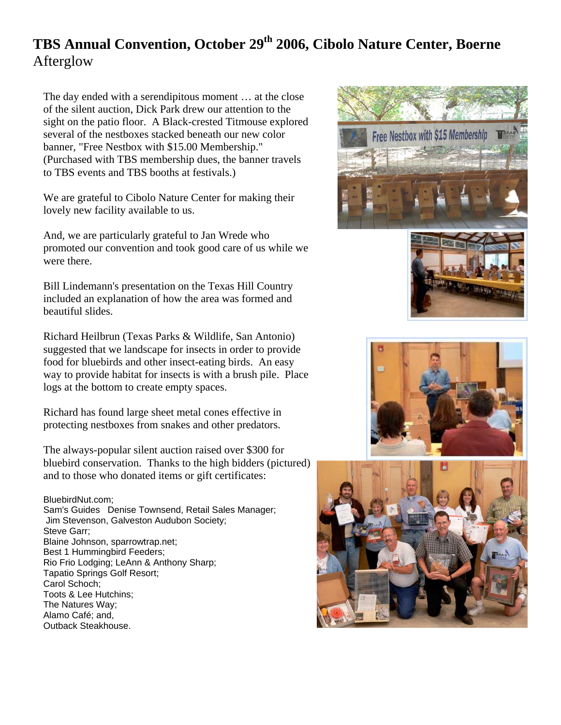# **TBS Annual Convention, October 29<sup>th</sup> 2006, Cibolo Nature Center, Boerne** Afterglow

The day ended with a serendipitous moment … at the close of the silent auction, Dick Park drew our attention to the sight on the patio floor. A Black-crested Titmouse explored several of the nestboxes stacked beneath our new color banner, "Free Nestbox with \$15.00 Membership." (Purchased with TBS membership dues, the banner travels to TBS events and TBS booths at festivals.)

We are grateful to Cibolo Nature Center for making their lovely new facility available to us.

And, we are particularly grateful to Jan Wrede who promoted our convention and took good care of us while we were there.

Bill Lindemann's presentation on the Texas Hill Country included an explanation of how the area was formed and beautiful slides.

Richard Heilbrun (Texas Parks & Wildlife, San Antonio) suggested that we landscape for insects in order to provide food for bluebirds and other insect-eating birds. An easy way to provide habitat for insects is with a brush pile. Place logs at the bottom to create empty spaces.

Richard has found large sheet metal cones effective in protecting nestboxes from snakes and other predators.

The always-popular silent auction raised over \$300 for bluebird conservation. Thanks to the high bidders (pictured) and to those who donated items or gift certificates:

#### BluebirdNut.com;

Sam's Guides Denise Townsend, Retail Sales Manager; Jim Stevenson, Galveston Audubon Society; Steve Garr; Blaine Johnson, sparrowtrap.net; Best 1 Hummingbird Feeders; Rio Frio Lodging; LeAnn & Anthony Sharp; Tapatio Springs Golf Resort; Carol Schoch; Toots & Lee Hutchins; The Natures Way; Alamo Café; and, Outback Steakhouse.







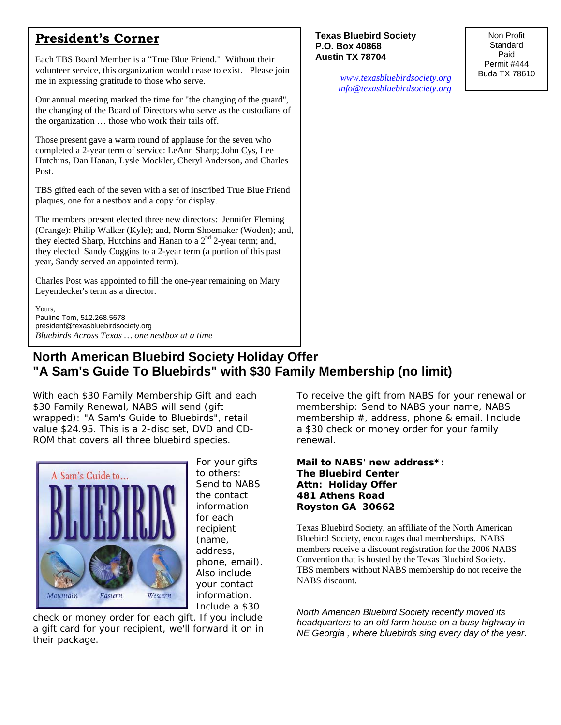### **President's Corner**

Each TBS Board Member is a "True Blue Friend." Without their volunteer service, this organization would cease to exist. Please join me in expressing gratitude to those who serve.

Our annual meeting marked the time for "the changing of the guard", the changing of the Board of Directors who serve as the custodians of the organization … those who work their tails off.

Those present gave a warm round of applause for the seven who completed a 2-year term of service: LeAnn Sharp; John Cys, Lee Hutchins, Dan Hanan, Lysle Mockler, Cheryl Anderson, and Charles Post.

TBS gifted each of the seven with a set of inscribed True Blue Friend plaques, one for a nestbox and a copy for display.

The members present elected three new directors: Jennifer Fleming (Orange): Philip Walker (Kyle); and, Norm Shoemaker (Woden); and, they elected Sharp, Hutchins and Hanan to a  $2<sup>nd</sup>$  2-year term; and, they elected Sandy Coggins to a 2-year term (a portion of this past year, Sandy served an appointed term).

Charles Post was appointed to fill the one-year remaining on Mary Leyendecker's term as a director.

Yours, Pauline Tom, 512.268.5678 president@texasbluebirdsociety.org *Bluebirds Across Texas … one nestbox at a time*

#### **Texas Bluebird Society P.O. Box 40868 Austin TX 78704**

Non Profit Standard Paid Permit #444 Buda TX 78610

*[www.texasbluebirdsociety.org](http://www.texasbluebirdsociety.org/) [info@texasbluebirdsociety.org](mailto:info@texasbluebirdsociety.org)*

# **North American Bluebird Society Holiday Offer "A Sam's Guide To Bluebirds" with \$30 Family Membership (no limit)**

With each \$30 Family Membership Gift and each \$30 Family Renewal, NABS will send (gift wrapped): "A Sam's Guide to Bluebirds", retail value \$24.95. This is a 2-disc set, DVD and CD-ROM that covers all three bluebird species.



For your gifts to others: Send to NABS the contact information for each recipient (name, address, phone, email). Also include your contact information. Include a \$30

check or money order for each gift. If you include a gift card for your recipient, we'll forward it on in their package.

To receive the gift from NABS for your renewal or membership: Send to NABS your name, NABS membership #, address, phone & email. Include a \$30 check or money order for your family renewal.

#### **Mail to NABS' new address\*: The Bluebird Center Attn: Holiday Offer 481 Athens Road Royston GA 30662**

Texas Bluebird Society, an affiliate of the North American Bluebird Society, encourages dual memberships. NABS members receive a discount registration for the 2006 NABS Convention that is hosted by the Texas Bluebird Society. TBS members without NABS membership do not receive the NABS discount.

*North American Bluebird Society recently moved its headquarters to an old farm house on a busy highway in NE Georgia , where bluebirds sing every day of the year.*